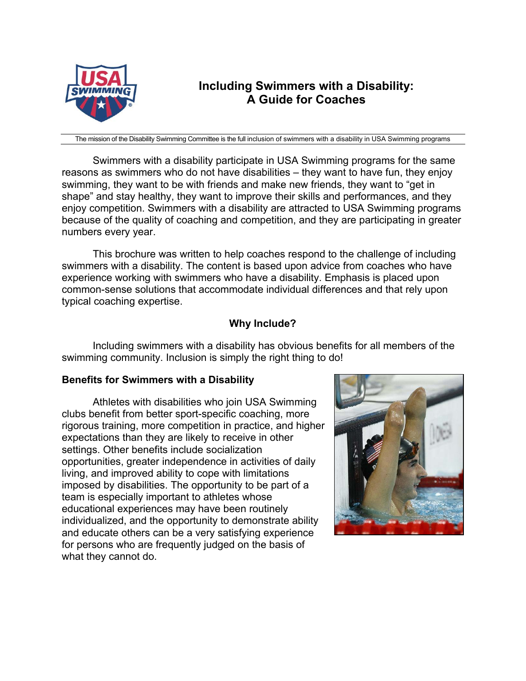

# **Including Swimmers with a Disability: A Guide for Coaches**

The mission of the Disability Swimming Committee is the full inclusion of swimmers with a disability in USA Swimming programs

Swimmers with a disability participate in USA Swimming programs for the same reasons as swimmers who do not have disabilities – they want to have fun, they enjoy swimming, they want to be with friends and make new friends, they want to "get in shape" and stay healthy, they want to improve their skills and performances, and they enjoy competition. Swimmers with a disability are attracted to USA Swimming programs because of the quality of coaching and competition, and they are participating in greater numbers every year.

This brochure was written to help coaches respond to the challenge of including swimmers with a disability. The content is based upon advice from coaches who have experience working with swimmers who have a disability. Emphasis is placed upon common-sense solutions that accommodate individual differences and that rely upon typical coaching expertise.

# **Why Include?**

Including swimmers with a disability has obvious benefits for all members of the swimming community. Inclusion is simply the right thing to do!

# **Benefits for Swimmers with a Disability**

Athletes with disabilities who join USA Swimming clubs benefit from better sport-specific coaching, more rigorous training, more competition in practice, and higher expectations than they are likely to receive in other settings. Other benefits include socialization opportunities, greater independence in activities of daily living, and improved ability to cope with limitations imposed by disabilities. The opportunity to be part of a team is especially important to athletes whose educational experiences may have been routinely individualized, and the opportunity to demonstrate ability and educate others can be a very satisfying experience for persons who are frequently judged on the basis of what they cannot do.

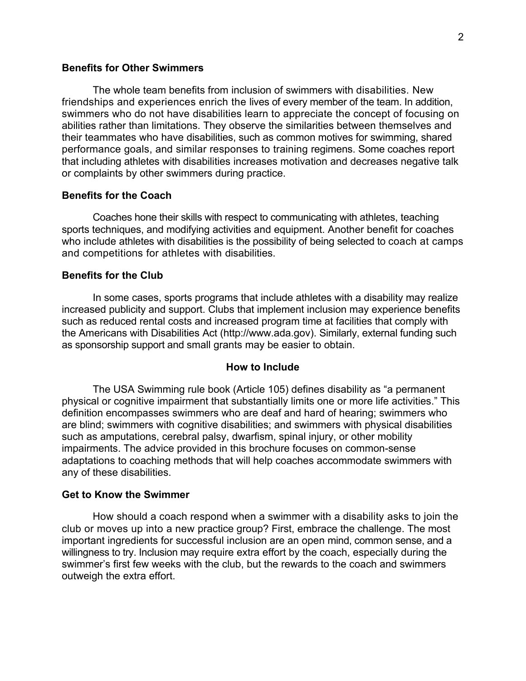## **Benefits for Other Swimmers**

The whole team benefits from inclusion of swimmers with disabilities. New friendships and experiences enrich the lives of every member of the team. In addition, swimmers who do not have disabilities learn to appreciate the concept of focusing on abilities rather than limitations. They observe the similarities between themselves and their teammates who have disabilities, such as common motives for swimming, shared performance goals, and similar responses to training regimens. Some coaches report that including athletes with disabilities increases motivation and decreases negative talk or complaints by other swimmers during practice.

## **Benefits for the Coach**

Coaches hone their skills with respect to communicating with athletes, teaching sports techniques, and modifying activities and equipment. Another benefit for coaches who include athletes with disabilities is the possibility of being selected to coach at camps and competitions for athletes with disabilities.

#### **Benefits for the Club**

In some cases, sports programs that include athletes with a disability may realize increased publicity and support. Clubs that implement inclusion may experience benefits such as reduced rental costs and increased program time at facilities that comply with the Americans with Disabilities Act (http://www.ada.gov). Similarly, external funding such as sponsorship support and small grants may be easier to obtain.

#### **How to Include**

The USA Swimming rule book (Article 105) defines disability as "a permanent physical or cognitive impairment that substantially limits one or more life activities." This definition encompasses swimmers who are deaf and hard of hearing; swimmers who are blind; swimmers with cognitive disabilities; and swimmers with physical disabilities such as amputations, cerebral palsy, dwarfism, spinal injury, or other mobility impairments. The advice provided in this brochure focuses on common-sense adaptations to coaching methods that will help coaches accommodate swimmers with any of these disabilities.

## **Get to Know the Swimmer**

How should a coach respond when a swimmer with a disability asks to join the club or moves up into a new practice group? First, embrace the challenge. The most important ingredients for successful inclusion are an open mind, common sense, and a willingness to try. Inclusion may require extra effort by the coach, especially during the swimmer's first few weeks with the club, but the rewards to the coach and swimmers outweigh the extra effort.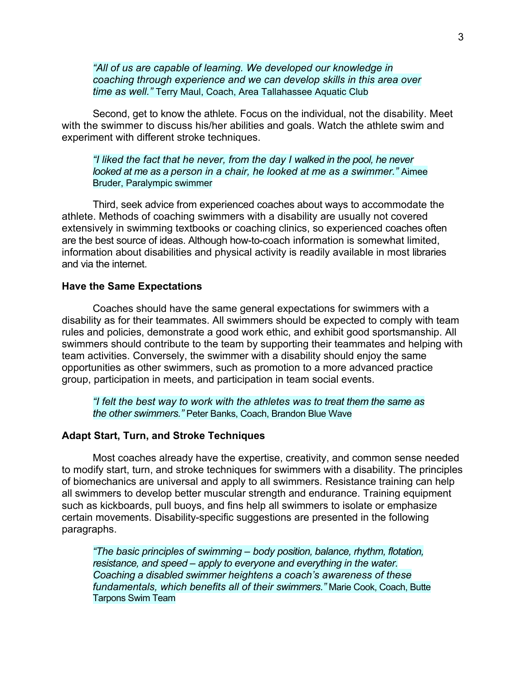*"All of us are capable of learning. We developed our knowledge in coaching through experience and we can develop skills in this area over time as well."* Terry Maul, Coach, Area Tallahassee Aquatic Club

Second, get to know the athlete. Focus on the individual, not the disability. Meet with the swimmer to discuss his/her abilities and goals. Watch the athlete swim and experiment with different stroke techniques.

## *"I liked the fact that he never, from the day I walked in the pool, he never looked at me as a person in a chair, he looked at me as a swimmer."* Aimee Bruder, Paralympic swimmer

Third, seek advice from experienced coaches about ways to accommodate the athlete. Methods of coaching swimmers with a disability are usually not covered extensively in swimming textbooks or coaching clinics, so experienced coaches often are the best source of ideas. Although how-to-coach information is somewhat limited, information about disabilities and physical activity is readily available in most libraries and via the internet.

## **Have the Same Expectations**

Coaches should have the same general expectations for swimmers with a disability as for their teammates. All swimmers should be expected to comply with team rules and policies, demonstrate a good work ethic, and exhibit good sportsmanship. All swimmers should contribute to the team by supporting their teammates and helping with team activities. Conversely, the swimmer with a disability should enjoy the same opportunities as other swimmers, such as promotion to a more advanced practice group, participation in meets, and participation in team social events.

*"I felt the best way to work with the athletes was to treat them the same as the other swimmers."* Peter Banks, Coach, Brandon Blue Wave

#### **Adapt Start, Turn, and Stroke Techniques**

Most coaches already have the expertise, creativity, and common sense needed to modify start, turn, and stroke techniques for swimmers with a disability. The principles of biomechanics are universal and apply to all swimmers. Resistance training can help all swimmers to develop better muscular strength and endurance. Training equipment such as kickboards, pull buoys, and fins help all swimmers to isolate or emphasize certain movements. Disability-specific suggestions are presented in the following paragraphs.

*"The basic principles of swimming – body position, balance, rhythm, flotation, resistance, and speed – apply to everyone and everything in the water. Coaching a disabled swimmer heightens a coach's awareness of these fundamentals, which benefits all of their swimmers."* Marie Cook, Coach, Butte Tarpons Swim Team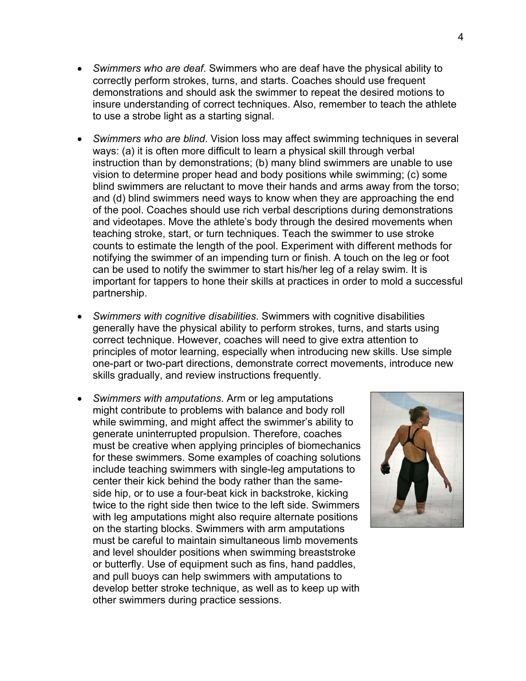- *Swimmers who are deaf*. Swimmers who are deaf have the physical ability to correctly perform strokes, turns, and starts. Coaches should use frequent demonstrations and should ask the swimmer to repeat the desired motions to insure understanding of correct techniques. Also, remember to teach the athlete to use a strobe light as a starting signal.
- *Swimmers who are blind*. Vision loss may affect swimming techniques in several ways: (a) it is often more difficult to learn a physical skill through verbal instruction than by demonstrations; (b) many blind swimmers are unable to use vision to determine proper head and body positions while swimming; (c) some blind swimmers are reluctant to move their hands and arms away from the torso; and (d) blind swimmers need ways to know when they are approaching the end of the pool. Coaches should use rich verbal descriptions during demonstrations and videotapes. Move the athlete's body through the desired movements when teaching stroke, start, or turn techniques. Teach the swimmer to use stroke counts to estimate the length of the pool. Experiment with different methods for notifying the swimmer of an impending turn or finish. A touch on the leg or foot can be used to notify the swimmer to start his/her leg of a relay swim. It is important for tappers to hone their skills at practices in order to mold a successful partnership.
- *Swimmers with cognitive disabilities*. Swimmers with cognitive disabilities generally have the physical ability to perform strokes, turns, and starts using correct technique. However, coaches will need to give extra attention to principles of motor learning, especially when introducing new skills. Use simple one-part or two-part directions, demonstrate correct movements, introduce new skills gradually, and review instructions frequently.
- *Swimmers with amputations*. Arm or leg amputations might contribute to problems with balance and body roll while swimming, and might affect the swimmer's ability to generate uninterrupted propulsion. Therefore, coaches must be creative when applying principles of biomechanics for these swimmers. Some examples of coaching solutions include teaching swimmers with single-leg amputations to center their kick behind the body rather than the sameside hip, or to use a four-beat kick in backstroke, kicking twice to the right side then twice to the left side. Swimmers with leg amputations might also require alternate positions on the starting blocks. Swimmers with arm amputations must be careful to maintain simultaneous limb movements and level shoulder positions when swimming breaststroke or butterfly. Use of equipment such as fins, hand paddles, and pull buoys can help swimmers with amputations to develop better stroke technique, as well as to keep up with other swimmers during practice sessions.

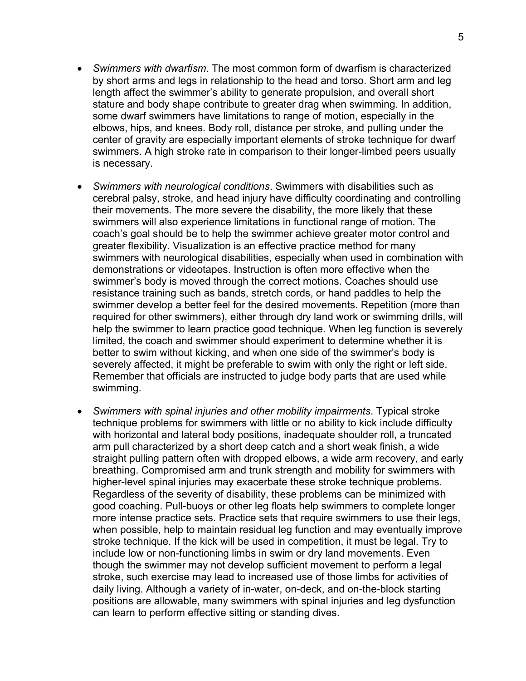- *Swimmers with dwarfism*. The most common form of dwarfism is characterized by short arms and legs in relationship to the head and torso. Short arm and leg length affect the swimmer's ability to generate propulsion, and overall short stature and body shape contribute to greater drag when swimming. In addition, some dwarf swimmers have limitations to range of motion, especially in the elbows, hips, and knees. Body roll, distance per stroke, and pulling under the center of gravity are especially important elements of stroke technique for dwarf swimmers. A high stroke rate in comparison to their longer-limbed peers usually is necessary.
- *Swimmers with neurological conditions*. Swimmers with disabilities such as cerebral palsy, stroke, and head injury have difficulty coordinating and controlling their movements. The more severe the disability, the more likely that these swimmers will also experience limitations in functional range of motion. The coach's goal should be to help the swimmer achieve greater motor control and greater flexibility. Visualization is an effective practice method for many swimmers with neurological disabilities, especially when used in combination with demonstrations or videotapes. Instruction is often more effective when the swimmer's body is moved through the correct motions. Coaches should use resistance training such as bands, stretch cords, or hand paddles to help the swimmer develop a better feel for the desired movements. Repetition (more than required for other swimmers), either through dry land work or swimming drills, will help the swimmer to learn practice good technique. When leg function is severely limited, the coach and swimmer should experiment to determine whether it is better to swim without kicking, and when one side of the swimmer's body is severely affected, it might be preferable to swim with only the right or left side. Remember that officials are instructed to judge body parts that are used while swimming.
- *Swimmers with spinal injuries and other mobility impairments*. Typical stroke technique problems for swimmers with little or no ability to kick include difficulty with horizontal and lateral body positions, inadequate shoulder roll, a truncated arm pull characterized by a short deep catch and a short weak finish, a wide straight pulling pattern often with dropped elbows, a wide arm recovery, and early breathing. Compromised arm and trunk strength and mobility for swimmers with higher-level spinal injuries may exacerbate these stroke technique problems. Regardless of the severity of disability, these problems can be minimized with good coaching. Pull-buoys or other leg floats help swimmers to complete longer more intense practice sets. Practice sets that require swimmers to use their legs, when possible, help to maintain residual leg function and may eventually improve stroke technique. If the kick will be used in competition, it must be legal. Try to include low or non-functioning limbs in swim or dry land movements. Even though the swimmer may not develop sufficient movement to perform a legal stroke, such exercise may lead to increased use of those limbs for activities of daily living. Although a variety of in-water, on-deck, and on-the-block starting positions are allowable, many swimmers with spinal injuries and leg dysfunction can learn to perform effective sitting or standing dives.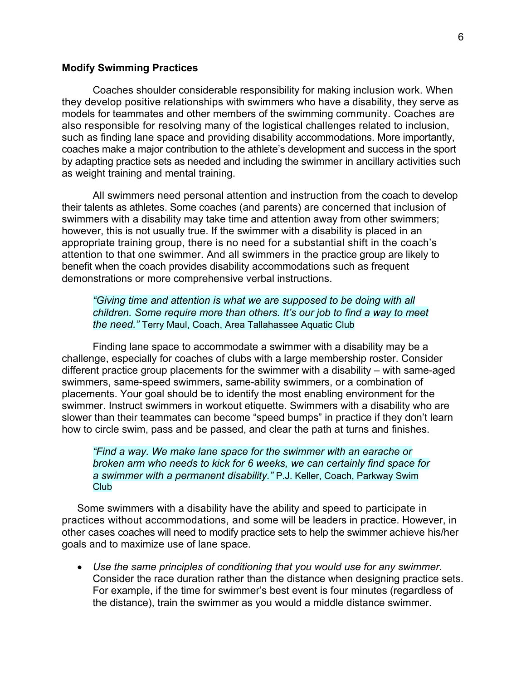#### **Modify Swimming Practices**

Coaches shoulder considerable responsibility for making inclusion work. When they develop positive relationships with swimmers who have a disability, they serve as models for teammates and other members of the swimming community. Coaches are also responsible for resolving many of the logistical challenges related to inclusion, such as finding lane space and providing disability accommodations. More importantly, coaches make a major contribution to the athlete's development and success in the sport by adapting practice sets as needed and including the swimmer in ancillary activities such as weight training and mental training.

All swimmers need personal attention and instruction from the coach to develop their talents as athletes. Some coaches (and parents) are concerned that inclusion of swimmers with a disability may take time and attention away from other swimmers; however, this is not usually true. If the swimmer with a disability is placed in an appropriate training group, there is no need for a substantial shift in the coach's attention to that one swimmer. And all swimmers in the practice group are likely to benefit when the coach provides disability accommodations such as frequent demonstrations or more comprehensive verbal instructions.

*"Giving time and attention is what we are supposed to be doing with all children. Some require more than others. It's our job to find a way to meet the need."* Terry Maul, Coach, Area Tallahassee Aquatic Club

Finding lane space to accommodate a swimmer with a disability may be a challenge, especially for coaches of clubs with a large membership roster. Consider different practice group placements for the swimmer with a disability – with same-aged swimmers, same-speed swimmers, same-ability swimmers, or a combination of placements. Your goal should be to identify the most enabling environment for the swimmer. Instruct swimmers in workout etiquette. Swimmers with a disability who are slower than their teammates can become "speed bumps" in practice if they don't learn how to circle swim, pass and be passed, and clear the path at turns and finishes.

*"Find a way. We make lane space for the swimmer with an earache or broken arm who needs to kick for 6 weeks, we can certainly find space for a swimmer with a permanent disability."* P.J. Keller, Coach, Parkway Swim **Club** 

Some swimmers with a disability have the ability and speed to participate in practices without accommodations, and some will be leaders in practice. However, in other cases coaches will need to modify practice sets to help the swimmer achieve his/her goals and to maximize use of lane space.

• *Use the same principles of conditioning that you would use for any swimmer*. Consider the race duration rather than the distance when designing practice sets. For example, if the time for swimmer's best event is four minutes (regardless of the distance), train the swimmer as you would a middle distance swimmer.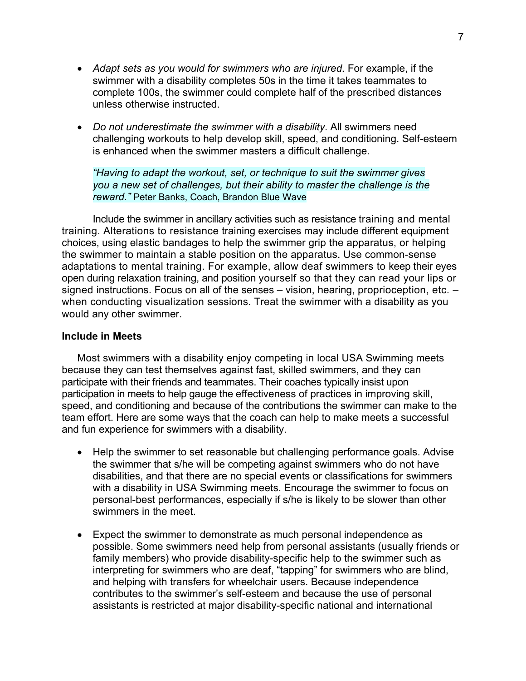- *Adapt sets as you would for swimmers who are injured*. For example, if the swimmer with a disability completes 50s in the time it takes teammates to complete 100s, the swimmer could complete half of the prescribed distances unless otherwise instructed.
- *Do not underestimate the swimmer with a disability*. All swimmers need challenging workouts to help develop skill, speed, and conditioning. Self-esteem is enhanced when the swimmer masters a difficult challenge.

*"Having to adapt the workout, set, or technique to suit the swimmer gives you a new set of challenges, but their ability to master the challenge is the reward."* Peter Banks, Coach, Brandon Blue Wave

Include the swimmer in ancillary activities such as resistance training and mental training. Alterations to resistance training exercises may include different equipment choices, using elastic bandages to help the swimmer grip the apparatus, or helping the swimmer to maintain a stable position on the apparatus. Use common-sense adaptations to mental training. For example, allow deaf swimmers to keep their eyes open during relaxation training, and position yourself so that they can read your lips or signed instructions. Focus on all of the senses – vision, hearing, proprioception, etc. – when conducting visualization sessions. Treat the swimmer with a disability as you would any other swimmer.

#### **Include in Meets**

Most swimmers with a disability enjoy competing in local USA Swimming meets because they can test themselves against fast, skilled swimmers, and they can participate with their friends and teammates. Their coaches typically insist upon participation in meets to help gauge the effectiveness of practices in improving skill, speed, and conditioning and because of the contributions the swimmer can make to the team effort. Here are some ways that the coach can help to make meets a successful and fun experience for swimmers with a disability.

- Help the swimmer to set reasonable but challenging performance goals. Advise the swimmer that s/he will be competing against swimmers who do not have disabilities, and that there are no special events or classifications for swimmers with a disability in USA Swimming meets. Encourage the swimmer to focus on personal-best performances, especially if s/he is likely to be slower than other swimmers in the meet.
- Expect the swimmer to demonstrate as much personal independence as possible. Some swimmers need help from personal assistants (usually friends or family members) who provide disability-specific help to the swimmer such as interpreting for swimmers who are deaf, "tapping" for swimmers who are blind, and helping with transfers for wheelchair users. Because independence contributes to the swimmer's self-esteem and because the use of personal assistants is restricted at major disability-specific national and international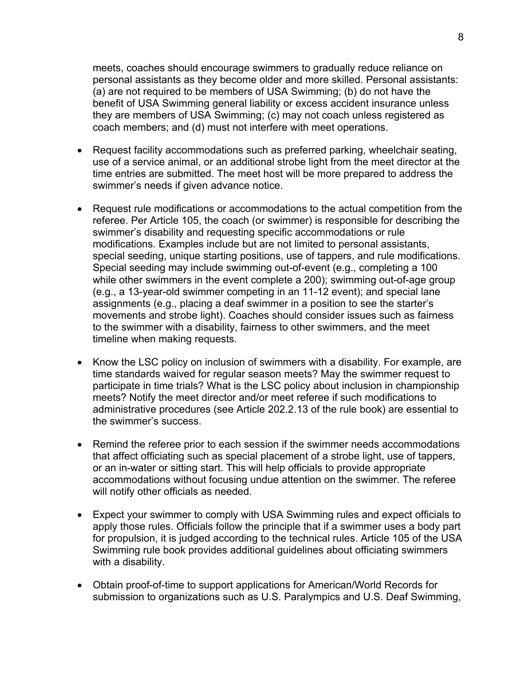meets, coaches should encourage swimmers to gradually reduce reliance on personal assistants as they become older and more skilled. Personal assistants: (a) are not required to be members of USA Swimming; (b) do not have the benefit of USA Swimming general liability or excess accident insurance unless they are members of USA Swimming; (c) may not coach unless registered as coach members; and (d) must not interfere with meet operations.

- Request facility accommodations such as preferred parking, wheelchair seating, use of a service animal, or an additional strobe light from the meet director at the time entries are submitted. The meet host will be more prepared to address the swimmer's needs if given advance notice.
- Request rule modifications or accommodations to the actual competition from the referee. Per Article 105, the coach (or swimmer) is responsible for describing the swimmer's disability and requesting specific accommodations or rule modifications. Examples include but are not limited to personal assistants, special seeding, unique starting positions, use of tappers, and rule modifications. Special seeding may include swimming out-of-event (e.g., completing a 100 while other swimmers in the event complete a 200); swimming out-of-age group (e.g., a 13-year-old swimmer competing in an 11-12 event); and special lane assignments (e.g., placing a deaf swimmer in a position to see the starter's movements and strobe light). Coaches should consider issues such as fairness to the swimmer with a disability, fairness to other swimmers, and the meet timeline when making requests.
- Know the LSC policy on inclusion of swimmers with a disability. For example, are time standards waived for regular season meets? May the swimmer request to participate in time trials? What is the LSC policy about inclusion in championship meets? Notify the meet director and/or meet referee if such modifications to administrative procedures (see Article 202.2.13 of the rule book) are essential to the swimmer's success.
- Remind the referee prior to each session if the swimmer needs accommodations that affect officiating such as special placement of a strobe light, use of tappers, or an in-water or sitting start. This will help officials to provide appropriate accommodations without focusing undue attention on the swimmer. The referee will notify other officials as needed.
- Expect your swimmer to comply with USA Swimming rules and expect officials to apply those rules. Officials follow the principle that if a swimmer uses a body part for propulsion, it is judged according to the technical rules. Article 105 of the USA Swimming rule book provides additional guidelines about officiating swimmers with a disability.
- Obtain proof-of-time to support applications for American/World Records for submission to organizations such as U.S. Paralympics and U.S. Deaf Swimming,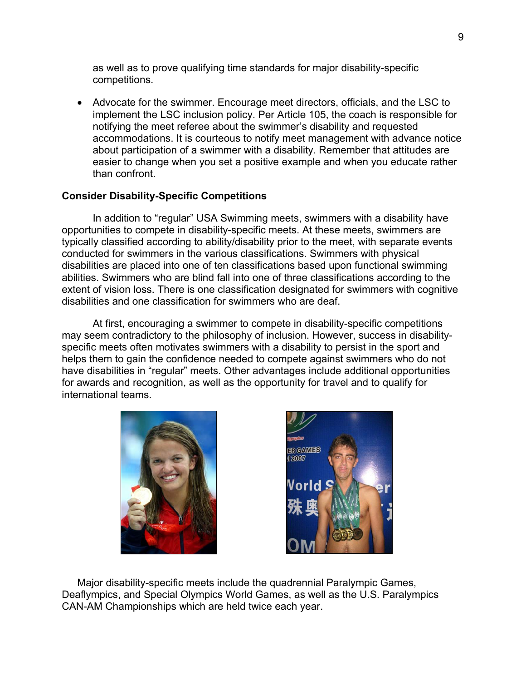as well as to prove qualifying time standards for major disability-specific competitions.

• Advocate for the swimmer. Encourage meet directors, officials, and the LSC to implement the LSC inclusion policy. Per Article 105, the coach is responsible for notifying the meet referee about the swimmer's disability and requested accommodations. It is courteous to notify meet management with advance notice about participation of a swimmer with a disability. Remember that attitudes are easier to change when you set a positive example and when you educate rather than confront.

# **Consider Disability-Specific Competitions**

In addition to "regular" USA Swimming meets, swimmers with a disability have opportunities to compete in disability-specific meets. At these meets, swimmers are typically classified according to ability/disability prior to the meet, with separate events conducted for swimmers in the various classifications. Swimmers with physical disabilities are placed into one of ten classifications based upon functional swimming abilities. Swimmers who are blind fall into one of three classifications according to the extent of vision loss. There is one classification designated for swimmers with cognitive disabilities and one classification for swimmers who are deaf.

At first, encouraging a swimmer to compete in disability-specific competitions may seem contradictory to the philosophy of inclusion. However, success in disabilityspecific meets often motivates swimmers with a disability to persist in the sport and helps them to gain the confidence needed to compete against swimmers who do not have disabilities in "regular" meets. Other advantages include additional opportunities for awards and recognition, as well as the opportunity for travel and to qualify for international teams.





Major disability-specific meets include the quadrennial Paralympic Games, Deaflympics, and Special Olympics World Games, as well as the U.S. Paralympics CAN-AM Championships which are held twice each year.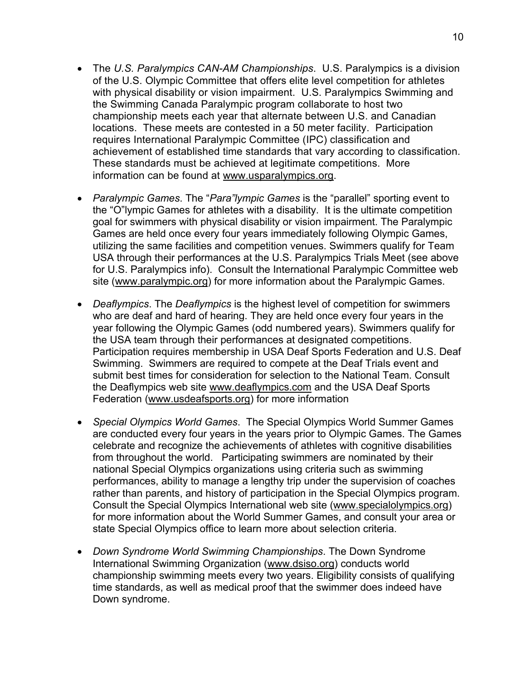- The *U.S. Paralympics CAN-AM Championships*. U.S. Paralympics is a division of the U.S. Olympic Committee that offers elite level competition for athletes with physical disability or vision impairment. U.S. Paralympics Swimming and the Swimming Canada Paralympic program collaborate to host two championship meets each year that alternate between U.S. and Canadian locations. These meets are contested in a 50 meter facility. Participation requires International Paralympic Committee (IPC) classification and achievement of established time standards that vary according to classification. These standards must be achieved at legitimate competitions. More information can be found at www.usparalympics.org.
- *Paralympic Games*. The "*Para"lympic Games* is the "parallel" sporting event to the "O"lympic Games for athletes with a disability. It is the ultimate competition goal for swimmers with physical disability or vision impairment. The Paralympic Games are held once every four years immediately following Olympic Games, utilizing the same facilities and competition venues. Swimmers qualify for Team USA through their performances at the U.S. Paralympics Trials Meet (see above for U.S. Paralympics info). Consult the International Paralympic Committee web site (www.paralympic.org) for more information about the Paralympic Games.
- *Deaflympics*. The *Deaflympics* is the highest level of competition for swimmers who are deaf and hard of hearing. They are held once every four years in the year following the Olympic Games (odd numbered years). Swimmers qualify for the USA team through their performances at designated competitions. Participation requires membership in USA Deaf Sports Federation and U.S. Deaf Swimming. Swimmers are required to compete at the Deaf Trials event and submit best times for consideration for selection to the National Team. Consult the Deaflympics web site www.deaflympics.com and the USA Deaf Sports Federation (www.usdeafsports.org) for more information
- *Special Olympics World Games*. The Special Olympics World Summer Games are conducted every four years in the years prior to Olympic Games. The Games celebrate and recognize the achievements of athletes with cognitive disabilities from throughout the world. Participating swimmers are nominated by their national Special Olympics organizations using criteria such as swimming performances, ability to manage a lengthy trip under the supervision of coaches rather than parents, and history of participation in the Special Olympics program. Consult the Special Olympics International web site (www.specialolympics.org) for more information about the World Summer Games, and consult your area or state Special Olympics office to learn more about selection criteria.
- *Down Syndrome World Swimming Championships*. The Down Syndrome International Swimming Organization (www.dsiso.org) conducts world championship swimming meets every two years. Eligibility consists of qualifying time standards, as well as medical proof that the swimmer does indeed have Down syndrome.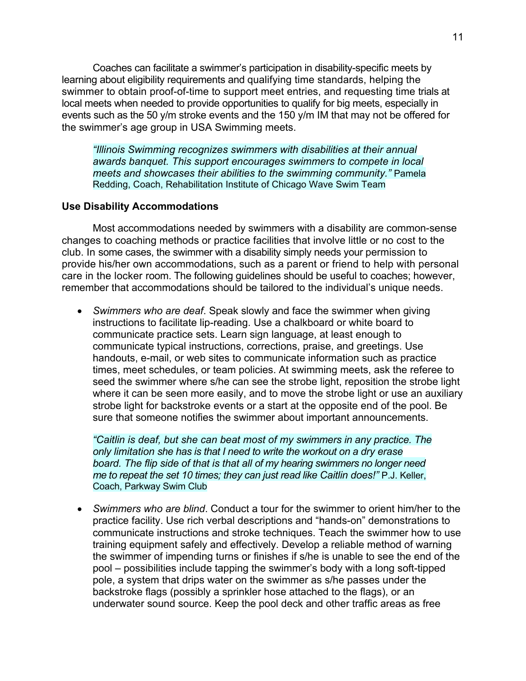Coaches can facilitate a swimmer's participation in disability-specific meets by learning about eligibility requirements and qualifying time standards, helping the swimmer to obtain proof-of-time to support meet entries, and requesting time trials at local meets when needed to provide opportunities to qualify for big meets, especially in events such as the 50 y/m stroke events and the 150 y/m IM that may not be offered for the swimmer's age group in USA Swimming meets.

*"Illinois Swimming recognizes swimmers with disabilities at their annual awards banquet. This support encourages swimmers to compete in local meets and showcases their abilities to the swimming community."* Pamela Redding, Coach, Rehabilitation Institute of Chicago Wave Swim Team

#### **Use Disability Accommodations**

Most accommodations needed by swimmers with a disability are common-sense changes to coaching methods or practice facilities that involve little or no cost to the club. In some cases, the swimmer with a disability simply needs your permission to provide his/her own accommodations, such as a parent or friend to help with personal care in the locker room. The following guidelines should be useful to coaches; however, remember that accommodations should be tailored to the individual's unique needs.

• *Swimmers who are deaf*. Speak slowly and face the swimmer when giving instructions to facilitate lip-reading. Use a chalkboard or white board to communicate practice sets. Learn sign language, at least enough to communicate typical instructions, corrections, praise, and greetings. Use handouts, e-mail, or web sites to communicate information such as practice times, meet schedules, or team policies. At swimming meets, ask the referee to seed the swimmer where s/he can see the strobe light, reposition the strobe light where it can be seen more easily, and to move the strobe light or use an auxiliary strobe light for backstroke events or a start at the opposite end of the pool. Be sure that someone notifies the swimmer about important announcements.

*"Caitlin is deaf, but she can beat most of my swimmers in any practice. The only limitation she has is that I need to write the workout on a dry erase board. The flip side of that is that all of my hearing swimmers no longer need me to repeat the set 10 times; they can just read like Caitlin does!"* P.J. Keller, Coach, Parkway Swim Club

• *Swimmers who are blind*. Conduct a tour for the swimmer to orient him/her to the practice facility. Use rich verbal descriptions and "hands-on" demonstrations to communicate instructions and stroke techniques. Teach the swimmer how to use training equipment safely and effectively. Develop a reliable method of warning the swimmer of impending turns or finishes if s/he is unable to see the end of the pool – possibilities include tapping the swimmer's body with a long soft-tipped pole, a system that drips water on the swimmer as s/he passes under the backstroke flags (possibly a sprinkler hose attached to the flags), or an underwater sound source. Keep the pool deck and other traffic areas as free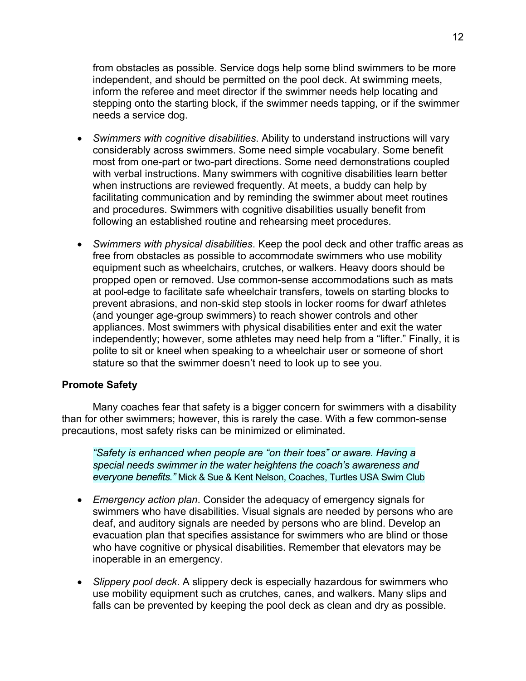from obstacles as possible. Service dogs help some blind swimmers to be more independent, and should be permitted on the pool deck. At swimming meets, inform the referee and meet director if the swimmer needs help locating and stepping onto the starting block, if the swimmer needs tapping, or if the swimmer needs a service dog.

- *Swimmers with cognitive disabilities*. Ability to understand instructions will vary considerably across swimmers. Some need simple vocabulary. Some benefit most from one-part or two-part directions. Some need demonstrations coupled with verbal instructions. Many swimmers with cognitive disabilities learn better when instructions are reviewed frequently. At meets, a buddy can help by facilitating communication and by reminding the swimmer about meet routines and procedures. Swimmers with cognitive disabilities usually benefit from following an established routine and rehearsing meet procedures.
- *Swimmers with physical disabilities*. Keep the pool deck and other traffic areas as free from obstacles as possible to accommodate swimmers who use mobility equipment such as wheelchairs, crutches, or walkers. Heavy doors should be propped open or removed. Use common-sense accommodations such as mats at pool-edge to facilitate safe wheelchair transfers, towels on starting blocks to prevent abrasions, and non-skid step stools in locker rooms for dwarf athletes (and younger age-group swimmers) to reach shower controls and other appliances. Most swimmers with physical disabilities enter and exit the water independently; however, some athletes may need help from a "lifter." Finally, it is polite to sit or kneel when speaking to a wheelchair user or someone of short stature so that the swimmer doesn't need to look up to see you.

# **Promote Safety**

Many coaches fear that safety is a bigger concern for swimmers with a disability than for other swimmers; however, this is rarely the case. With a few common-sense precautions, most safety risks can be minimized or eliminated.

*"Safety is enhanced when people are "on their toes" or aware. Having a special needs swimmer in the water heightens the coach's awareness and everyone benefits."* Mick & Sue & Kent Nelson, Coaches, Turtles USA Swim Club

- *Emergency action plan*. Consider the adequacy of emergency signals for swimmers who have disabilities. Visual signals are needed by persons who are deaf, and auditory signals are needed by persons who are blind. Develop an evacuation plan that specifies assistance for swimmers who are blind or those who have cognitive or physical disabilities. Remember that elevators may be inoperable in an emergency.
- *Slippery pool deck*. A slippery deck is especially hazardous for swimmers who use mobility equipment such as crutches, canes, and walkers. Many slips and falls can be prevented by keeping the pool deck as clean and dry as possible.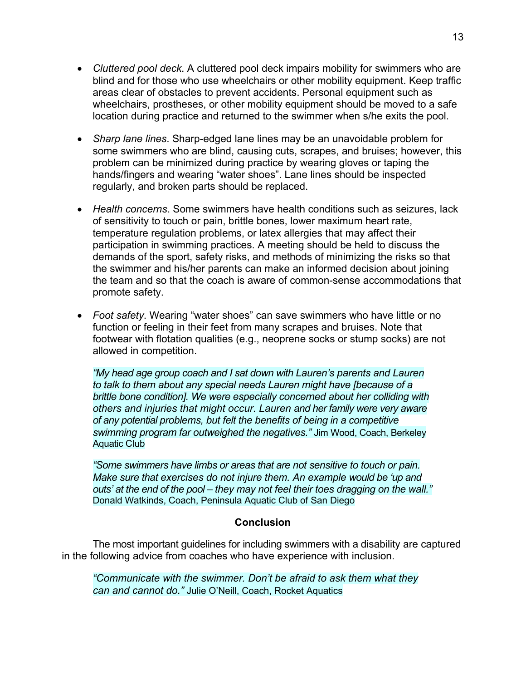- *Cluttered pool deck*. A cluttered pool deck impairs mobility for swimmers who are blind and for those who use wheelchairs or other mobility equipment. Keep traffic areas clear of obstacles to prevent accidents. Personal equipment such as wheelchairs, prostheses, or other mobility equipment should be moved to a safe location during practice and returned to the swimmer when s/he exits the pool.
- *Sharp lane lines*. Sharp-edged lane lines may be an unavoidable problem for some swimmers who are blind, causing cuts, scrapes, and bruises; however, this problem can be minimized during practice by wearing gloves or taping the hands/fingers and wearing "water shoes". Lane lines should be inspected regularly, and broken parts should be replaced.
- *Health concerns*. Some swimmers have health conditions such as seizures, lack of sensitivity to touch or pain, brittle bones, lower maximum heart rate, temperature regulation problems, or latex allergies that may affect their participation in swimming practices. A meeting should be held to discuss the demands of the sport, safety risks, and methods of minimizing the risks so that the swimmer and his/her parents can make an informed decision about joining the team and so that the coach is aware of common-sense accommodations that promote safety.
- *Foot safety*. Wearing "water shoes" can save swimmers who have little or no function or feeling in their feet from many scrapes and bruises. Note that footwear with flotation qualities (e.g., neoprene socks or stump socks) are not allowed in competition.

*"My head age group coach and I sat down with Lauren's parents and Lauren to talk to them about any special needs Lauren might have [because of a brittle bone condition]. We were especially concerned about her colliding with others and injuries that might occur. Lauren and her family were very aware of any potential problems, but felt the benefits of being in a competitive swimming program far outweighed the negatives."* Jim Wood, Coach, Berkeley Aquatic Club

*"Some swimmers have limbs or areas that are not sensitive to touch or pain. Make sure that exercises do not injure them. An example would be 'up and outs' at the end of the pool – they may not feel their toes dragging on the wall."*  Donald Watkinds, Coach, Peninsula Aquatic Club of San Diego

# **Conclusion**

The most important guidelines for including swimmers with a disability are captured in the following advice from coaches who have experience with inclusion.

*"Communicate with the swimmer. Don't be afraid to ask them what they can and cannot do."* Julie O'Neill, Coach, Rocket Aquatics